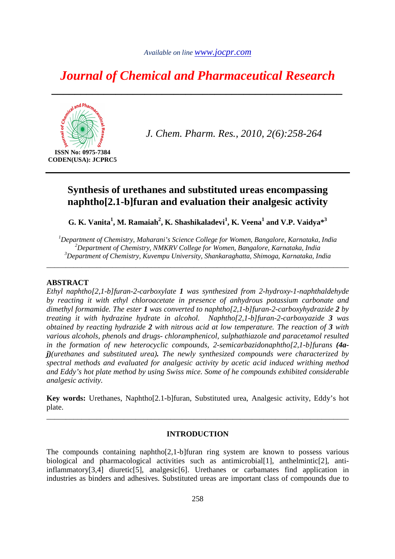# *Journal of Chemical and Pharmaceutical Research*

*\_\_\_\_\_\_\_\_\_\_\_\_\_\_\_\_\_\_\_\_\_\_\_\_\_\_\_\_\_\_\_\_\_\_\_\_\_\_\_\_\_\_\_\_\_\_\_\_\_\_* 



*J. Chem. Pharm. Res., 2010, 2(6):258-264*

# **Synthesis of urethanes and substituted ureas encompassing naphtho[2.1-b]furan and evaluation their analgesic activity**

**G. K. Vanita<sup>1</sup> , M. Ramaiah<sup>2</sup> , K. Shashikaladevi<sup>1</sup> , K. Veena<sup>1</sup> and V.P. Vaidya\*<sup>3</sup>**

*<sup>1</sup>Department of Chemistry, Maharani's Science College for Women, Bangalore, Karnataka, India <sup>2</sup>Department of Chemistry, NMKRV College for Women, Bangalore, Karnataka, India <sup>3</sup>Department of Chemistry, Kuvempu University, Shankaraghatta, Shimoga, Karnataka, India* 

*\_\_\_\_\_\_\_\_\_\_\_\_\_\_\_\_\_\_\_\_\_\_\_\_\_\_\_\_\_\_\_\_\_\_\_\_\_\_\_\_\_\_\_\_\_\_\_\_\_\_\_\_\_\_\_\_\_\_\_\_\_\_\_\_\_\_\_\_\_\_\_\_\_\_\_\_\_\_* 

#### **ABSTRACT**

*Ethyl naphtho[2,1-b]furan-2-carboxylate 1 was synthesized from 2-hydroxy-1-naphthaldehyde by reacting it with ethyl chloroacetate in presence of anhydrous potassium carbonate and dimethyl formamide. The ester 1 was converted to naphtho[2,1-b]furan-2-carboxyhydrazide 2 by treating it with hydrazine hydrate in alcohol. Naphtho[2,1-b]furan-2-carboxyazide 3 was obtained by reacting hydrazide 2 with nitrous acid at low temperature. The reaction of 3 with various alcohols, phenols and drugs- chloramphenicol, sulphathiazole and paracetamol resulted*  in the formation of new heterocyclic compounds, 2-semicarbazidonaphtho<sup>[2,]</sup>-b]furans (4a*j)(urethanes and substituted urea). The newly synthesized compounds were characterized by spectral methods and evaluated for analgesic activity by acetic acid induced writhing method and Eddy's hot plate method by using Swiss mice. Some of he compounds exhibited considerable analgesic activity.* 

**Key words:** Urethanes, Naphtho[2.1-b]furan, Substituted urea, Analgesic activity, Eddy's hot plate.

\_\_\_\_\_\_\_\_\_\_\_\_\_\_\_\_\_\_\_\_\_\_\_\_\_\_\_\_\_\_\_\_\_\_\_\_\_\_\_\_\_\_\_\_\_\_\_\_\_\_\_\_\_\_\_\_\_\_\_\_\_\_\_\_\_\_\_\_\_\_\_\_\_\_\_\_\_\_

#### **INTRODUCTION**

The compounds containing naphtho $[2,1-b]$ furan ring system are known to possess various biological and pharmacological activities such as antimicrobial[1], anthelmintic[2], antiinflammatory[3,4] diuretic[5], analgesic[6]. Urethanes or carbamates find application in industries as binders and adhesives. Substituted ureas are important class of compounds due to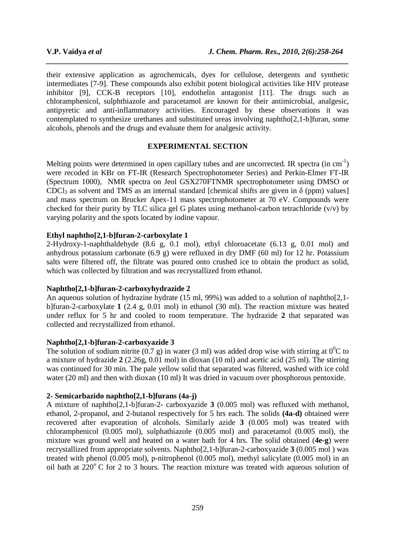their extensive application as agrochemicals, dyes for cellulose, detergents and synthetic intermediates [7-9]. These compounds also exhibit potent biological activities like HIV protease inhibitor [9], CCK-B receptors [10], endothelin antagonist [11]. The drugs such as chloramphenicol, sulphthiazole and paracetamol are known for their antimicrobial, analgesic, antipyretic and anti-inflammatory activities. Encouraged by these observations it was contemplated to synthesize urethanes and substituted ureas involving naphtho[2,1-b]furan, some alcohols, phenols and the drugs and evaluate them for analgesic activity.

*\_\_\_\_\_\_\_\_\_\_\_\_\_\_\_\_\_\_\_\_\_\_\_\_\_\_\_\_\_\_\_\_\_\_\_\_\_\_\_\_\_\_\_\_\_\_\_\_\_\_\_\_\_\_\_\_\_\_\_\_\_\_\_\_\_\_\_\_\_\_\_\_\_\_\_\_\_\_*

# **EXPERIMENTAL SECTION**

Melting points were determined in open capillary tubes and are uncorrected. IR spectra (in cm<sup>-1</sup>) were recoded in KBr on FT-IR (Research Spectrophotometer Series) and Perkin-Elmer FT-IR (Spectrum 1000), NMR spectra on Jeol GSX270FTNMR spectrophotometer using DMSO or CDCl<sub>3</sub> as solvent and TMS as an internal standard [chemical shifts are given in  $\delta$  (ppm) values] and mass spectrum on Brucker Apex-11 mass spectrophotometer at 70 eV. Compounds were checked for their purity by TLC silica gel G plates using methanol-carbon tetrachloride  $(v/v)$  by varying polarity and the spots located by iodine vapour.

# **Ethyl naphtho[2,1-b]furan-2-carboxylate 1**

2-Hydroxy-1-naphthaldehyde (8.6 g, 0.1 mol), ethyl chloroacetate (6.13 g, 0.01 mol) and anhydrous potassium carbonate (6.9 g) were refluxed in dry DMF (60 ml) for 12 hr. Potassium salts were filtered off, the filtrate was poured onto crushed ice to obtain the product as solid, which was collected by filtration and was recrystallized from ethanol.

#### **Naphtho[2,1-b]furan-2-carboxyhydrazide 2**

An aqueous solution of hydrazine hydrate (15 ml, 99%) was added to a solution of naphthol 2,1b]furan-2-carboxylate **1** (2.4 g, 0.01 mol) in ethanol (30 ml). The reaction mixture was heated under reflux for 5 hr and cooled to room temperature. The hydrazide **2** that separated was collected and recrystallized from ethanol.

#### **Naphtho[2,1-b]furan-2-carboxyazide 3**

The solution of sodium nitrite (0.7 g) in water (3 ml) was added drop wise with stirring at  $0^0C$  to a mixture of hydrazide **2** (2.26g, 0.01 mol) in dioxan (10 ml) and acetic acid (25 ml). The stirring was continued for 30 min. The pale yellow solid that separated was filtered, washed with ice cold water (20 ml) and then with dioxan (10 ml) It was dried in vacuum over phosphorous pentoxide.

#### **2- Semicarbazido naphtho[2,1-b]furans (4a-j)**

A mixture of naphtho[2,1-b]furan-2- carboxyazide **3** (0.005 mol) was refluxed with methanol, ethanol, 2-propanol, and 2-butanol respectively for 5 hrs each. The solids **(4a-d)** obtained were recovered after evaporation of alcohols. Similarly azide **3** (0.005 mol) was treated with chloramphenicol (0.005 mol), sulphathiazole (0.005 mol) and paracetamol (0.005 mol), the mixture was ground well and heated on a water bath for 4 hrs. The solid obtained (**4e-g**) were recrystallized from appropriate solvents. Naphtho[2,1-b]furan-2-carboxyazide **3** (0.005 mol ) was treated with phenol (0.005 mol), p-nitrophenol (0.005 mol), methyl salicylate (0.005 mol) in an oil bath at  $220^{\circ}$  C for 2 to 3 hours. The reaction mixture was treated with aqueous solution of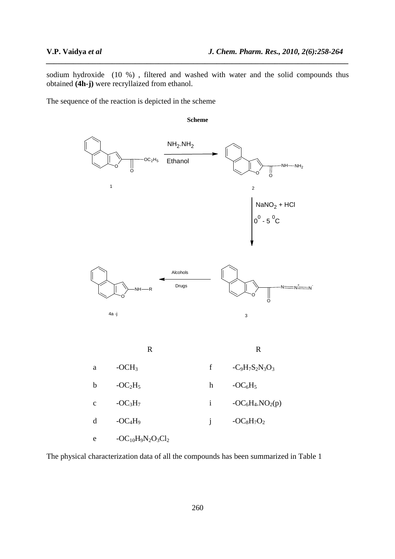sodium hydroxide (10 %) , filtered and washed with water and the solid compounds thus obtained **(4h-j)** were recryllaized from ethanol.

*\_\_\_\_\_\_\_\_\_\_\_\_\_\_\_\_\_\_\_\_\_\_\_\_\_\_\_\_\_\_\_\_\_\_\_\_\_\_\_\_\_\_\_\_\_\_\_\_\_\_\_\_\_\_\_\_\_\_\_\_\_\_\_\_\_\_\_\_\_\_\_\_\_\_\_\_\_\_*

The sequence of the reaction is depicted in the scheme



The physical characterization data of all the compounds has been summarized in Table 1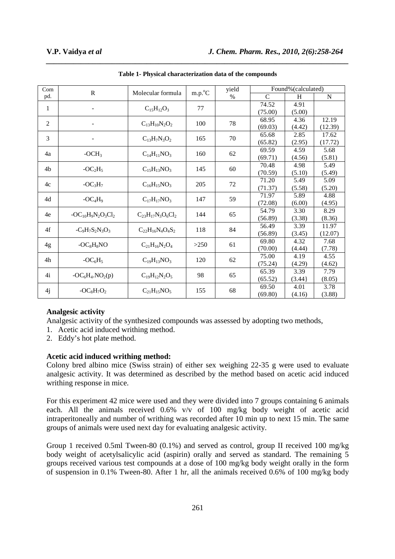| Com            | $\mathbb{R}$            | Molecular formula        | $m.p.^{\circ}C$ | yield<br>$\%$ | Found%(calculated) |        |             |
|----------------|-------------------------|--------------------------|-----------------|---------------|--------------------|--------|-------------|
| pd.            |                         |                          |                 |               | $\mathcal{C}$      | H      | $\mathbf N$ |
| 1              | ÷                       | $C_{15}H_{12}O_3$        | 77              |               | 74.52              | 4.91   |             |
|                |                         |                          |                 |               | (75.00)            | (5.00) |             |
| $\overline{2}$ |                         | $C_{13}H_{10}N_2O_2$     | 100             | 78            | 68.95              | 4.36   | 12.19       |
|                |                         |                          |                 |               | (69.03)            | (4.42) | (12.39)     |
| 3              |                         | $C_{13}H_7N_3O_2$        | 165             | 70            | 65.68              | 2.85   | 17.62       |
|                |                         |                          |                 |               | (65.82)            | (2.95) | (17.72)     |
| 4a             | $-OCH3$                 | $C_{14}H_{11}NO_3$       | 160             | 62            | 69.59              | 4.59   | 5.68        |
|                |                         |                          |                 |               | (69.71)            | (4.56) | (5.81)      |
| 4 <sub>b</sub> | $-OC2H5$                | $C_{15}H_{13}NO_3$       | 145             | 60            | 70.48              | 4.98   | 5.49        |
|                |                         |                          |                 |               | (70.59)            | (5.10) | (5.49)      |
| 4c             | $-OC3H7$                | $C_{16}H_{15}NO_3$       | 205             | 72            | 71.20              | 5.49   | 5.09        |
|                |                         |                          |                 |               | (71.37)            | (5.58) | (5.20)      |
| 4d             | $-OC4H9$                | $C_{17}H_{17}NO_3$       | 147             | 59            | 71.97              | 5.89   | 4.88        |
|                |                         |                          |                 |               | (72.08)            | (6.00) | (4.95)      |
| 4e             | $-OC_{10}H_9N_2O_3Cl_2$ | $C_{23}H_{17}N_3O_6Cl_2$ | 144             | 65            | 54.79              | 3.30   | 8.29        |
|                |                         |                          |                 |               | (56.89)            | (3.38) | (8.36)      |
| 4f             | $-C_9H_7S_2N_3O_3$      | $C_{22}H_{16}N_4O_4S_2$  | 118             | 84            | 56.49              | 3.39   | 11.97       |
|                |                         |                          |                 |               | (56.89)            | (3.45) | (12.07)     |
| 4g             | $-OC8H8NO$              | $C_{21}H_{16}N_2O_4$     | >250            | 61            | 69.80              | 4.32   | 7.68        |
|                |                         |                          |                 |               | (70.00)            | (4.44) | (7.78)      |
| 4h             | $-OC6H5$                | $C_{19}H_{13}NO_3$       | 120             | 62            | 75.00              | 4.19   | 4.55        |
|                |                         |                          |                 |               | (75.24)            | (4.29) | (4.62)      |
| 4i             | $-OC_6H_4.NO_2(p)$      | $C_{19}H_{12}N_2O_5$     | 98              | 65            | 65.39              | 3.39   | 7.79        |
|                |                         |                          |                 |               | (65.52)            | (3.44) | (8.05)      |
| 4j             | $-OC_8H_7O_2$           | $C_{21}H_{15}NO_5$       | 155             | 68            | 69.50              | 4.01   | 3.78        |
|                |                         |                          |                 |               | (69.80)            | (4.16) | (3.88)      |

**Table 1- Physical characterization data of the compounds** 

*\_\_\_\_\_\_\_\_\_\_\_\_\_\_\_\_\_\_\_\_\_\_\_\_\_\_\_\_\_\_\_\_\_\_\_\_\_\_\_\_\_\_\_\_\_\_\_\_\_\_\_\_\_\_\_\_\_\_\_\_\_\_\_\_\_\_\_\_\_\_\_\_\_\_\_\_\_\_*

#### **Analgesic activity**

Analgesic activity of the synthesized compounds was assessed by adopting two methods,

- 1. Acetic acid induced writhing method.
- 2. Eddy's hot plate method.

#### **Acetic acid induced writhing method:**

Colony bred albino mice (Swiss strain) of either sex weighing 22-35 g were used to evaluate analgesic activity. It was determined as described by the method based on acetic acid induced writhing response in mice.

For this experiment 42 mice were used and they were divided into 7 groups containing 6 animals each. All the animals received 0.6% v/v of 100 mg/kg body weight of acetic acid intraperitoneally and number of writhing was recorded after 10 min up to next 15 min. The same groups of animals were used next day for evaluating analgesic activity.

Group 1 received 0.5ml Tween-80 (0.1%) and served as control, group II received 100 mg/kg body weight of acetylsalicylic acid (aspirin) orally and served as standard. The remaining 5 groups received various test compounds at a dose of 100 mg/kg body weight orally in the form of suspension in 0.1% Tween-80. After 1 hr, all the animals received 0.6% of 100 mg/kg body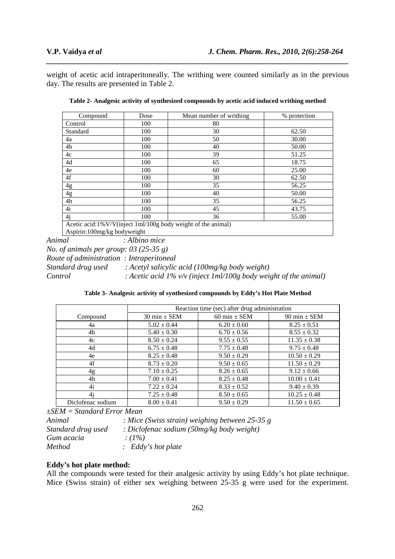weight of acetic acid intraperitoneally. The writhing were counted similarly as in the previous day. The results are presented in Table 2.

*\_\_\_\_\_\_\_\_\_\_\_\_\_\_\_\_\_\_\_\_\_\_\_\_\_\_\_\_\_\_\_\_\_\_\_\_\_\_\_\_\_\_\_\_\_\_\_\_\_\_\_\_\_\_\_\_\_\_\_\_\_\_\_\_\_\_\_\_\_\_\_\_\_\_\_\_\_\_*

| Dose                                                         | Mean number of writhing | % protection |  |  |  |  |  |
|--------------------------------------------------------------|-------------------------|--------------|--|--|--|--|--|
| 100                                                          | 80                      |              |  |  |  |  |  |
| 100                                                          | 30                      | 62.50        |  |  |  |  |  |
| 100                                                          | 50                      | 30.00        |  |  |  |  |  |
| 100                                                          | 40                      | 50.00        |  |  |  |  |  |
| 100                                                          | 39                      | 51.25        |  |  |  |  |  |
| 100                                                          | 65                      | 18.75        |  |  |  |  |  |
| 100                                                          | 60                      | 25.00        |  |  |  |  |  |
| 100                                                          | 30                      | 62.50        |  |  |  |  |  |
| 100                                                          | 35                      | 56.25        |  |  |  |  |  |
| 100                                                          | 40                      | 50.00        |  |  |  |  |  |
| 100                                                          | 35                      | 56.25        |  |  |  |  |  |
| 100                                                          | 45                      | 43.75        |  |  |  |  |  |
| 100                                                          | 36                      | 55.00        |  |  |  |  |  |
| Acetic acid:1%V/V(inject 1ml/100g body weight of the animal) |                         |              |  |  |  |  |  |
|                                                              | $\cdots$ $\cdots$       |              |  |  |  |  |  |

**Table 2- Analgesic activity of synthesized compounds by acetic acid induced writhing method** 

Aspirin:100mg/kg bodyweight

*Animal : Albino mice No. of animals per group: 03 (25-35 g) Route of administration : Intraperitoneal Standard drug used : Acetyl salicylic acid (100mg/kg body weight) Control : Acetic acid 1% v/v (inject 1ml/100g body weight of the animal)* 

**Table 3- Analgesic activity of synthesized compounds by Eddy's Hot Plate Method**

|                   | Reaction time (sec) after drug administration |                  |                  |  |  |  |
|-------------------|-----------------------------------------------|------------------|------------------|--|--|--|
| Compound          | $30 \text{ min} \pm \text{SEM}$               | 60 min $\pm$ SEM | 90 min $\pm$ SEM |  |  |  |
| 4a                | $5.02 \pm 0.44$                               | $6.20 \pm 0.60$  | $8.25 \pm 0.51$  |  |  |  |
| 4b                | $5.40 \pm 0.30$                               | $6.70 \pm 0.56$  | $8.55 \pm 0.32$  |  |  |  |
| 4c                | $8.50 \pm 0.24$                               | $9.55 \pm 0.55$  | $11.35 \pm 0.38$ |  |  |  |
| 4d                | $6.75 \pm 0.48$                               | $7.75 \pm 0.48$  | $9.75 \pm 0.48$  |  |  |  |
| 4e                | $8.25 \pm 0.48$                               | $9.50 \pm 0.29$  | $10.50 \pm 0.29$ |  |  |  |
| 4f                | $8.73 \pm 0.20$                               | $9.50 \pm 0.65$  | $11.50 \pm 0.29$ |  |  |  |
| 4g                | $7.10 \pm 0.25$                               | $8.26 \pm 0.65$  | $9.12 \pm 0.66$  |  |  |  |
| 4h                | $7.00 \pm 0.41$                               | $8.25 \pm 0.48$  | $10.00 \pm 0.41$ |  |  |  |
| 4i                | $7.22 \pm 0.24$                               | $8.33 \pm 0.52$  | $9.40 \pm 0.39$  |  |  |  |
| 4i                | $7.25 \pm 0.48$                               | $8.50 \pm 0.65$  | $10.25 \pm 0.48$ |  |  |  |
| Diclofenac sodium | $8.00 \pm 0.41$                               | $9.50 \pm 0.29$  | $11.50 \pm 0.65$ |  |  |  |

*±SEM = Standard Error Mean* 

*Animal : Mice (Swiss strain) weighing between 25-35 g Standard drug used : Diclofenac sodium (50mg/kg body weight) Gum acacia : (1%) Method : Eddy's hot plate* 

# **Eddy's hot plate method:**

All the compounds were tested for their analgesic activity by using Eddy's hot plate technique. Mice (Swiss strain) of either sex weighing between 25-35 g were used for the experiment.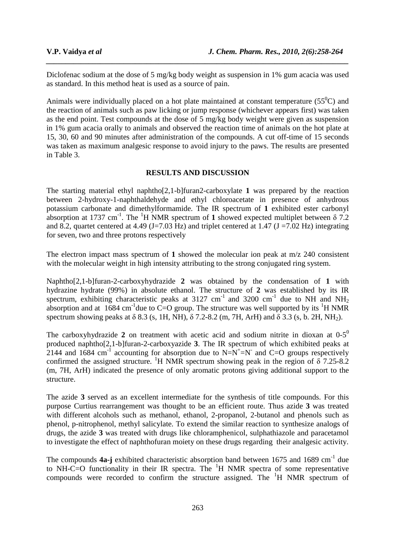Diclofenac sodium at the dose of 5 mg/kg body weight as suspension in 1% gum acacia was used as standard. In this method heat is used as a source of pain.

*\_\_\_\_\_\_\_\_\_\_\_\_\_\_\_\_\_\_\_\_\_\_\_\_\_\_\_\_\_\_\_\_\_\_\_\_\_\_\_\_\_\_\_\_\_\_\_\_\_\_\_\_\_\_\_\_\_\_\_\_\_\_\_\_\_\_\_\_\_\_\_\_\_\_\_\_\_\_*

Animals were individually placed on a hot plate maintained at constant temperature ( $55^{\circ}$ C) and the reaction of animals such as paw licking or jump response (whichever appears first) was taken as the end point. Test compounds at the dose of 5 mg/kg body weight were given as suspension in 1% gum acacia orally to animals and observed the reaction time of animals on the hot plate at 15, 30, 60 and 90 minutes after administration of the compounds. A cut off-time of 15 seconds was taken as maximum analgesic response to avoid injury to the paws. The results are presented in Table 3.

#### **RESULTS AND DISCUSSION**

The starting material ethyl naphtho[2,1-b]furan2-carboxylate **1** was prepared by the reaction between 2-hydroxy-1-naphthaldehyde and ethyl chloroacetate in presence of anhydrous potassium carbonate and dimethylformamide. The IR spectrum of **1** exhibited ester carbonyl absorption at 1737 cm<sup>-1</sup>. The <sup>1</sup>H NMR spectrum of 1 showed expected multiplet between  $\delta$  7.2 and 8.2, quartet centered at 4.49 (J=7.03 Hz) and triplet centered at 1.47 (J =7.02 Hz) integrating for seven, two and three protons respectively

The electron impact mass spectrum of **1** showed the molecular ion peak at m/z 240 consistent with the molecular weight in high intensity attributing to the strong conjugated ring system.

Naphtho[2,1-b]furan-2-carboxyhydrazide **2** was obtained by the condensation of **1** with hydrazine hydrate (99%) in absolute ethanol. The structure of **2** was established by its IR spectrum, exhibiting characteristic peaks at 3127 cm<sup>-1</sup> and 3200 cm<sup>-1</sup> due to NH and NH<sub>2</sub> absorption and at 1684 cm<sup>-1</sup>due to C=O group. The structure was well supported by its <sup>1</sup>H NMR spectrum showing peaks at  $\delta$  8.3 (s, 1H, NH),  $\delta$  7.2-8.2 (m, 7H, ArH) and  $\delta$  3.3 (s, b. 2H, NH<sub>2</sub>).

The carboxyhydrazide 2 on treatment with acetic acid and sodium nitrite in dioxan at  $0-5^0$ produced naphtho[2,1-b]furan-2-carboxyazide **3**. The IR spectrum of which exhibited peaks at 2144 and 1684 cm<sup>-1</sup> accounting for absorption due to  $N=N^{\dagger}=N^{\dagger}$  and C=O groups respectively confirmed the assigned structure. <sup>1</sup>H NMR spectrum showing peak in the region of  $\delta$  7.25-8.2 (m, 7H, ArH) indicated the presence of only aromatic protons giving additional support to the structure.

The azide **3** served as an excellent intermediate for the synthesis of title compounds. For this purpose Curtius rearrangement was thought to be an efficient route. Thus azide **3** was treated with different alcohols such as methanol, ethanol, 2-propanol, 2-butanol and phenols such as phenol, p-nitrophenol, methyl salicylate. To extend the similar reaction to synthesize analogs of drugs, the azide **3** was treated with drugs like chloramphenicol, sulphathiazole and paracetamol to investigate the effect of naphthofuran moiety on these drugs regarding their analgesic activity.

The compounds **4a-j** exhibited characteristic absorption band between 1675 and 1689 cm<sup>-1</sup> due to NH-C=O functionality in their IR spectra. The  ${}^{1}H$  NMR spectra of some representative compounds were recorded to confirm the structure assigned. The  ${}^{1}H$  NMR spectrum of